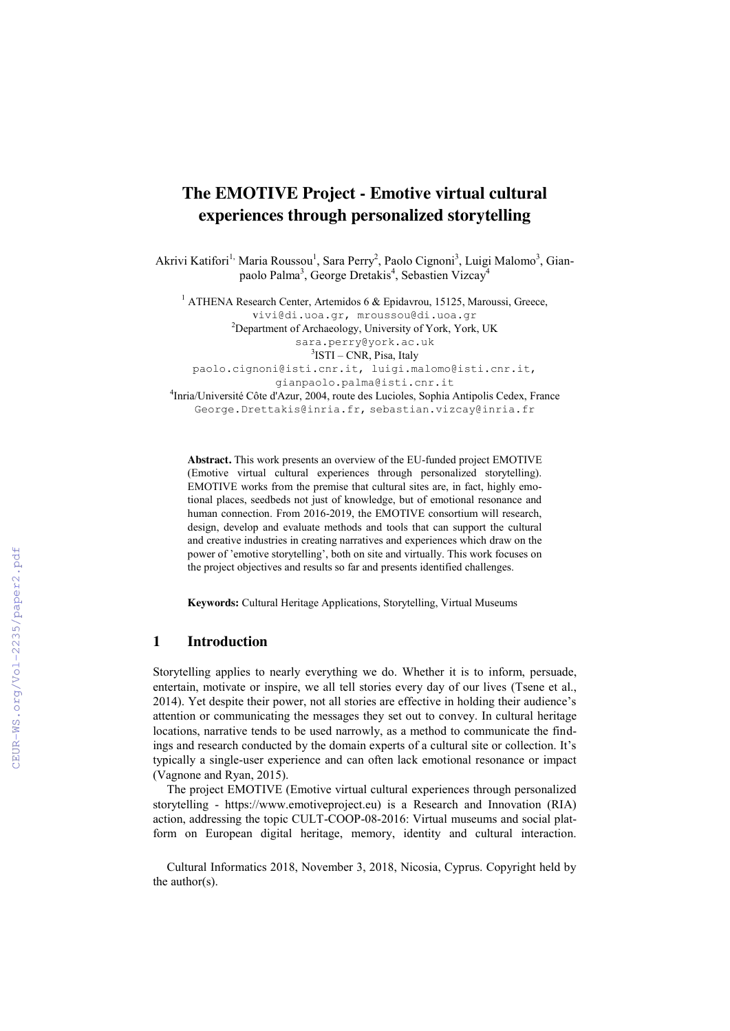# **The EMOTIVE Project - Emotive virtual cultural experiences through personalized storytelling**

Akrivi Katifori<sup>1,</sup> Maria Roussou<sup>1</sup>, Sara Perry<sup>2</sup>, Paolo Cignoni<sup>3</sup>, Luigi Malomo<sup>3</sup>, Gianpaolo Palma<sup>3</sup>, George Dretakis<sup>4</sup>, Sebastien Vizcay<sup>4</sup>

<sup>1</sup> ATHENA Research Center, Artemidos 6 & Epidavrou, 15125, Maroussi, Greece, vivi@di.uoa.gr, mroussou@di.uoa.gr <sup>2</sup>Department of Archaeology, University of York, York, UK sara.perry@york.ac.uk <sup>3</sup>ISTI – CNR, Pisa, Italy paolo.cignoni@isti.cnr.it, luigi.malomo@isti.cnr.it,

gianpaolo.palma@isti.cnr.it

4 Inria/Université Côte d'Azur, 2004, route des Lucioles, Sophia Antipolis Cedex, France George.Drettakis@inria.fr, sebastian.vizcay@inria.fr

**Abstract.** This work presents an overview of the EU-funded project EMOTIVE (Emotive virtual cultural experiences through personalized storytelling). EMOTIVE works from the premise that cultural sites are, in fact, highly emotional places, seedbeds not just of knowledge, but of emotional resonance and human connection. From 2016-2019, the EMOTIVE consortium will research, design, develop and evaluate methods and tools that can support the cultural and creative industries in creating narratives and experiences which draw on the power of 'emotive storytelling', both on site and virtually. This work focuses on the project objectives and results so far and presents identified challenges.

**Keywords:** Cultural Heritage Applications, Storytelling, Virtual Museums

### **1 Introduction**

Storytelling applies to nearly everything we do. Whether it is to inform, persuade, entertain, motivate or inspire, we all tell stories every day of our lives (Tsene et al., 2014). Yet despite their power, not all stories are effective in holding their audience's attention or communicating the messages they set out to convey. In cultural heritage locations, narrative tends to be used narrowly, as a method to communicate the findings and research conducted by the domain experts of a cultural site or collection. It's typically a single-user experience and can often lack emotional resonance or impact (Vagnone and Ryan, 2015).

The project EMOTIVE (Emotive virtual cultural experiences through personalized storytelling - https://www.emotiveproject.eu) is a Research and Innovation (RIA) action, addressing the topic CULT-COOP-08-2016: Virtual museums and social platform on European digital heritage, memory, identity and cultural interaction.

Cultural Informatics 2018, November 3, 2018, Nicosia, Cyprus. Copyright held by the author(s).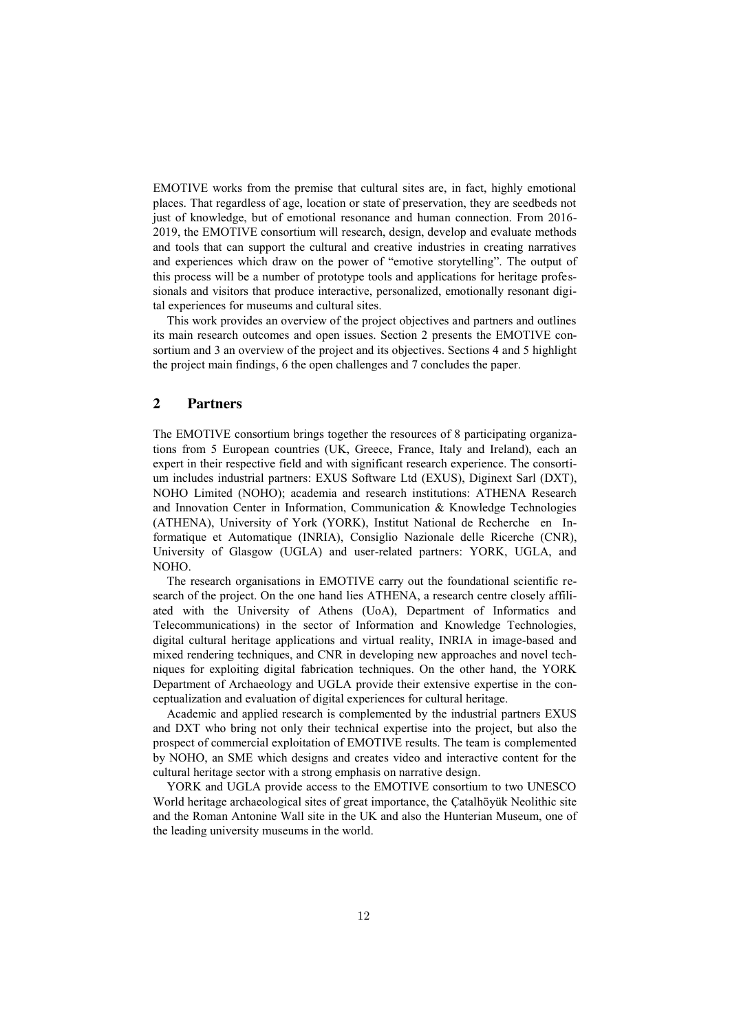EMOTIVE works from the premise that cultural sites are, in fact, highly emotional places. That regardless of age, location or state of preservation, they are seedbeds not just of knowledge, but of emotional resonance and human connection. From 2016- 2019, the EMOTIVE consortium will research, design, develop and evaluate methods and tools that can support the cultural and creative industries in creating narratives and experiences which draw on the power of "emotive storytelling". The output of this process will be a number of prototype tools and applications for heritage professionals and visitors that produce interactive, personalized, emotionally resonant digital experiences for museums and cultural sites.

This work provides an overview of the project objectives and partners and outlines its main research outcomes and open issues. Section 2 presents the EMOTIVE consortium and 3 an overview of the project and its objectives. Sections 4 and 5 highlight the project main findings, 6 the open challenges and 7 concludes the paper.

### **2 Partners**

The EMOTIVE consortium brings together the resources of 8 participating organizations from 5 European countries (UK, Greece, France, Italy and Ireland), each an expert in their respective field and with significant research experience. The consortium includes industrial partners: EXUS Software Ltd (EXUS), Diginext Sarl (DXT), NOHO Limited (NOHO); academia and research institutions: ATHENA Research and Innovation Center in Information, Communication & Knowledge Technologies (ATHENA), University of York (YORK), Institut National de Recherche en Informatique et Automatique (INRIA), Consiglio Nazionale delle Ricerche (CNR), University of Glasgow (UGLA) and user-related partners: YORK, UGLA, and NOHO.

The research organisations in EMOTIVE carry out the foundational scientific research of the project. On the one hand lies ATHENA, a research centre closely affiliated with the University of Athens (UoA), Department of Informatics and Telecommunications) in the sector of Information and Knowledge Technologies, digital cultural heritage applications and virtual reality, INRIA in image-based and mixed rendering techniques, and CNR in developing new approaches and novel techniques for exploiting digital fabrication techniques. On the other hand, the YORK Department of Archaeology and UGLA provide their extensive expertise in the conceptualization and evaluation of digital experiences for cultural heritage.

Academic and applied research is complemented by the industrial partners EXUS and DXT who bring not only their technical expertise into the project, but also the prospect of commercial exploitation of EMOTIVE results. The team is complemented by NOHO, an SME which designs and creates video and interactive content for the cultural heritage sector with a strong emphasis on narrative design.

YORK and UGLA provide access to the EMOTIVE consortium to two UNESCO World heritage archaeological sites of great importance, the Çatalhöyük Neolithic site and the Roman Antonine Wall site in the UK and also the Hunterian Museum, one of the leading university museums in the world.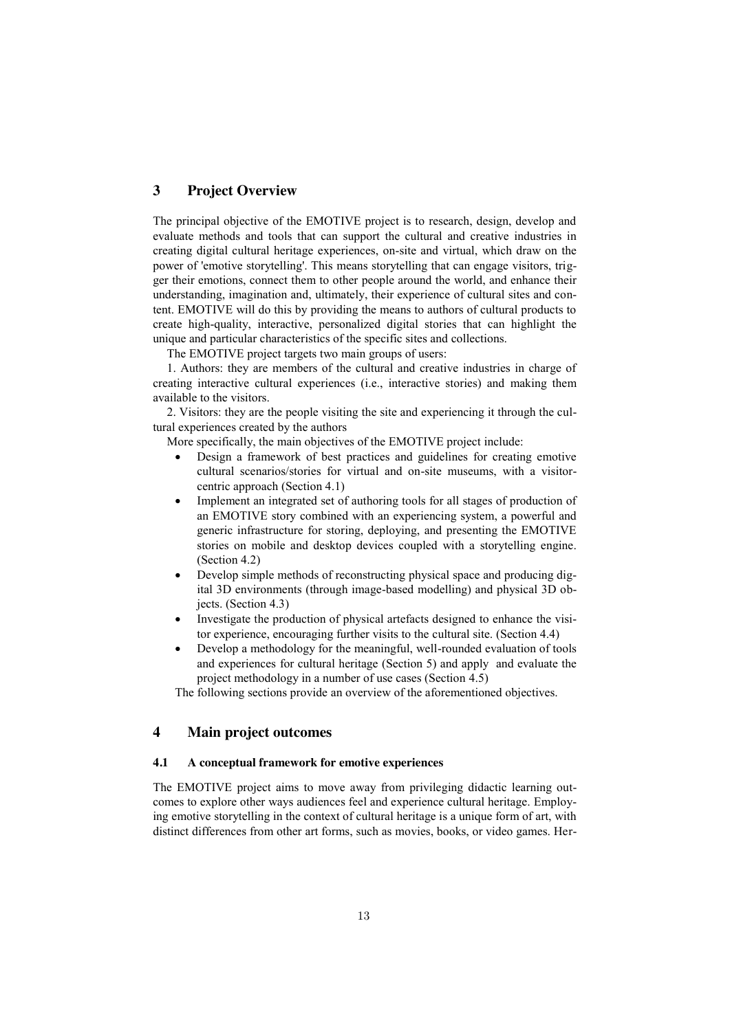## **3 Project Overview**

The principal objective of the EMOTIVE project is to research, design, develop and evaluate methods and tools that can support the cultural and creative industries in creating digital cultural heritage experiences, on-site and virtual, which draw on the power of 'emotive storytelling'. This means storytelling that can engage visitors, trigger their emotions, connect them to other people around the world, and enhance their understanding, imagination and, ultimately, their experience of cultural sites and content. EMOTIVE will do this by providing the means to authors of cultural products to create high-quality, interactive, personalized digital stories that can highlight the unique and particular characteristics of the specific sites and collections.

The EMOTIVE project targets two main groups of users:

1. Authors: they are members of the cultural and creative industries in charge of creating interactive cultural experiences (i.e., interactive stories) and making them available to the visitors.

2. Visitors: they are the people visiting the site and experiencing it through the cultural experiences created by the authors

More specifically, the main objectives of the EMOTIVE project include:

- Design a framework of best practices and guidelines for creating emotive cultural scenarios/stories for virtual and on-site museums, with a visitorcentric approach (Section 4.1)
- Implement an integrated set of authoring tools for all stages of production of an EMOTIVE story combined with an experiencing system, a powerful and generic infrastructure for storing, deploying, and presenting the EMOTIVE stories on mobile and desktop devices coupled with a storytelling engine. (Section 4.2)
- Develop simple methods of reconstructing physical space and producing digital 3D environments (through image-based modelling) and physical 3D objects. (Section 4.3)
- Investigate the production of physical artefacts designed to enhance the visitor experience, encouraging further visits to the cultural site. (Section 4.4)
- Develop a methodology for the meaningful, well-rounded evaluation of tools and experiences for cultural heritage (Section 5) and apply and evaluate the project methodology in a number of use cases (Section 4.5)

The following sections provide an overview of the aforementioned objectives.

### **4 Main project outcomes**

#### **4.1 A conceptual framework for emotive experiences**

The EMOTIVE project aims to move away from privileging didactic learning outcomes to explore other ways audiences feel and experience cultural heritage. Employing emotive storytelling in the context of cultural heritage is a unique form of art, with distinct differences from other art forms, such as movies, books, or video games. Her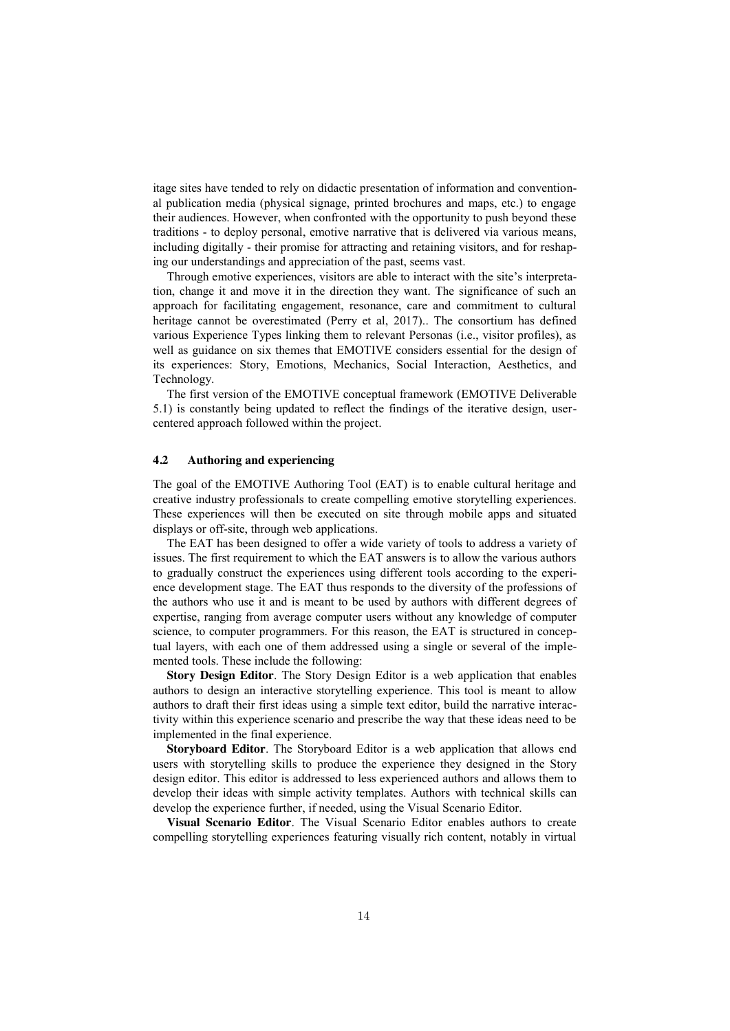itage sites have tended to rely on didactic presentation of information and conventional publication media (physical signage, printed brochures and maps, etc.) to engage their audiences. However, when confronted with the opportunity to push beyond these traditions - to deploy personal, emotive narrative that is delivered via various means, including digitally - their promise for attracting and retaining visitors, and for reshaping our understandings and appreciation of the past, seems vast.

Through emotive experiences, visitors are able to interact with the site's interpretation, change it and move it in the direction they want. The significance of such an approach for facilitating engagement, resonance, care and commitment to cultural heritage cannot be overestimated (Perry et al, 2017).. The consortium has defined various Experience Types linking them to relevant Personas (i.e., visitor profiles), as well as guidance on six themes that EMOTIVE considers essential for the design of its experiences: Story, Emotions, Mechanics, Social Interaction, Aesthetics, and Technology.

The first version of the EMOTIVE conceptual framework (EMOTIVE Deliverable 5.1) is constantly being updated to reflect the findings of the iterative design, usercentered approach followed within the project.

#### **4.2 Authoring and experiencing**

The goal of the EMOTIVE Authoring Tool (EAT) is to enable cultural heritage and creative industry professionals to create compelling emotive storytelling experiences. These experiences will then be executed on site through mobile apps and situated displays or off-site, through web applications.

The EAT has been designed to offer a wide variety of tools to address a variety of issues. The first requirement to which the EAT answers is to allow the various authors to gradually construct the experiences using different tools according to the experience development stage. The EAT thus responds to the diversity of the professions of the authors who use it and is meant to be used by authors with different degrees of expertise, ranging from average computer users without any knowledge of computer science, to computer programmers. For this reason, the EAT is structured in conceptual layers, with each one of them addressed using a single or several of the implemented tools. These include the following:

**Story Design Editor**. The Story Design Editor is a web application that enables authors to design an interactive storytelling experience. This tool is meant to allow authors to draft their first ideas using a simple text editor, build the narrative interactivity within this experience scenario and prescribe the way that these ideas need to be implemented in the final experience.

**Storyboard Editor**. The Storyboard Editor is a web application that allows end users with storytelling skills to produce the experience they designed in the Story design editor. This editor is addressed to less experienced authors and allows them to develop their ideas with simple activity templates. Authors with technical skills can develop the experience further, if needed, using the Visual Scenario Editor.

**Visual Scenario Editor**. The Visual Scenario Editor enables authors to create compelling storytelling experiences featuring visually rich content, notably in virtual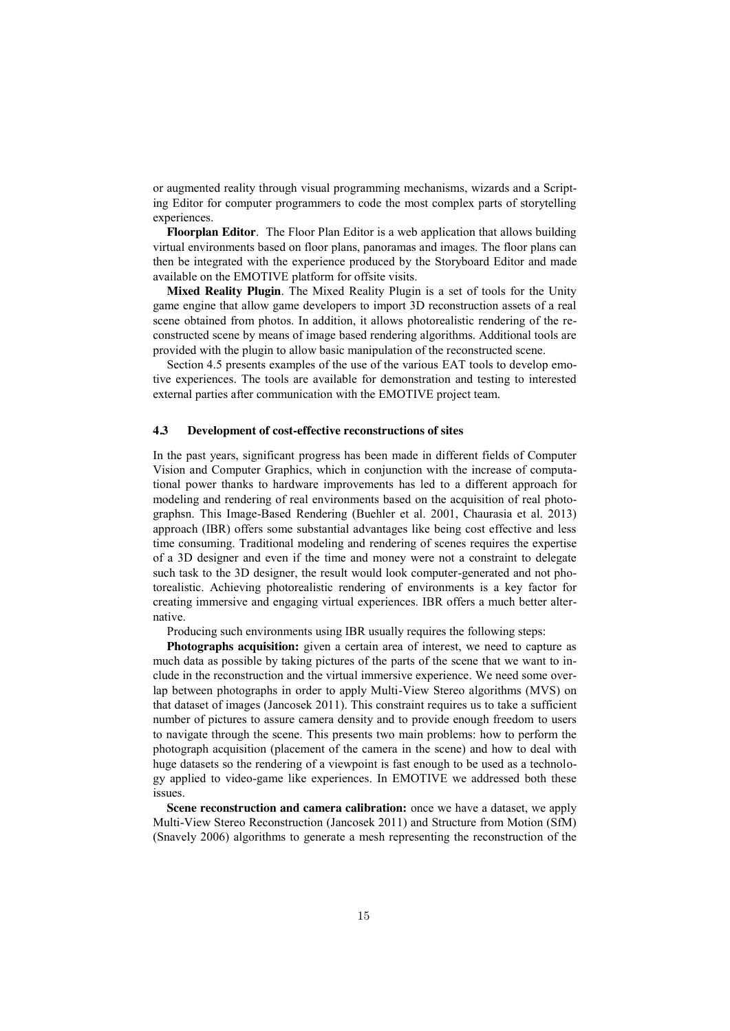or augmented reality through visual programming mechanisms, wizards and a Scripting Editor for computer programmers to code the most complex parts of storytelling experiences.

**Floorplan Editor**. The Floor Plan Editor is a web application that allows building virtual environments based on floor plans, panoramas and images. The floor plans can then be integrated with the experience produced by the Storyboard Editor and made available on the EMOTIVE platform for offsite visits.

**Mixed Reality Plugin**. The Mixed Reality Plugin is a set of tools for the Unity game engine that allow game developers to import 3D reconstruction assets of a real scene obtained from photos. In addition, it allows photorealistic rendering of the reconstructed scene by means of image based rendering algorithms. Additional tools are provided with the plugin to allow basic manipulation of the reconstructed scene.

Section 4.5 presents examples of the use of the various EAT tools to develop emotive experiences. The tools are available for demonstration and testing to interested external parties after communication with the EMOTIVE project team.

#### **4.3 Development of cost-effective reconstructions of sites**

In the past years, significant progress has been made in different fields of Computer Vision and Computer Graphics, which in conjunction with the increase of computational power thanks to hardware improvements has led to a different approach for modeling and rendering of real environments based on the acquisition of real photographsn. This Image-Based Rendering (Buehler et al. 2001, Chaurasia et al. 2013) approach (IBR) offers some substantial advantages like being cost effective and less time consuming. Traditional modeling and rendering of scenes requires the expertise of a 3D designer and even if the time and money were not a constraint to delegate such task to the 3D designer, the result would look computer-generated and not photorealistic. Achieving photorealistic rendering of environments is a key factor for creating immersive and engaging virtual experiences. IBR offers a much better alternative.

Producing such environments using IBR usually requires the following steps:

**Photographs acquisition:** given a certain area of interest, we need to capture as much data as possible by taking pictures of the parts of the scene that we want to include in the reconstruction and the virtual immersive experience. We need some overlap between photographs in order to apply Multi-View Stereo algorithms (MVS) on that dataset of images (Jancosek 2011). This constraint requires us to take a sufficient number of pictures to assure camera density and to provide enough freedom to users to navigate through the scene. This presents two main problems: how to perform the photograph acquisition (placement of the camera in the scene) and how to deal with huge datasets so the rendering of a viewpoint is fast enough to be used as a technology applied to video-game like experiences. In EMOTIVE we addressed both these issues.

**Scene reconstruction and camera calibration:** once we have a dataset, we apply Multi-View Stereo Reconstruction (Jancosek 2011) and Structure from Motion (SfM) (Snavely 2006) algorithms to generate a mesh representing the reconstruction of the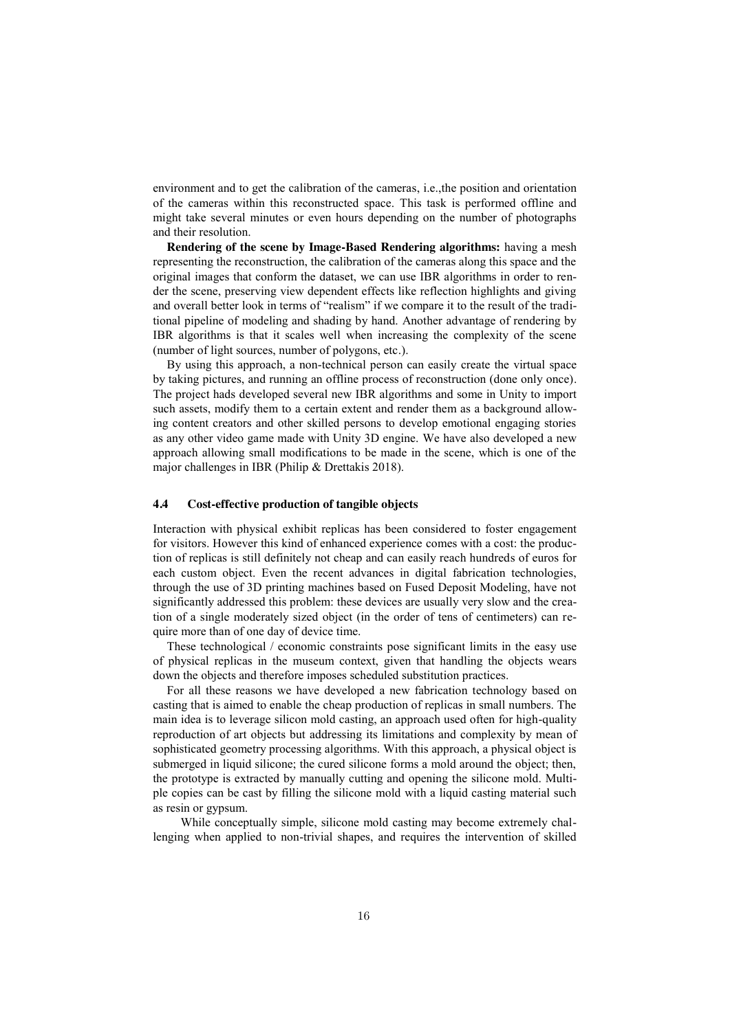environment and to get the calibration of the cameras, i.e.,the position and orientation of the cameras within this reconstructed space. This task is performed offline and might take several minutes or even hours depending on the number of photographs and their resolution.

**Rendering of the scene by Image-Based Rendering algorithms:** having a mesh representing the reconstruction, the calibration of the cameras along this space and the original images that conform the dataset, we can use IBR algorithms in order to render the scene, preserving view dependent effects like reflection highlights and giving and overall better look in terms of "realism" if we compare it to the result of the traditional pipeline of modeling and shading by hand. Another advantage of rendering by IBR algorithms is that it scales well when increasing the complexity of the scene (number of light sources, number of polygons, etc.).

By using this approach, a non-technical person can easily create the virtual space by taking pictures, and running an offline process of reconstruction (done only once). The project hads developed several new IBR algorithms and some in Unity to import such assets, modify them to a certain extent and render them as a background allowing content creators and other skilled persons to develop emotional engaging stories as any other video game made with Unity 3D engine. We have also developed a new approach allowing small modifications to be made in the scene, which is one of the major challenges in IBR (Philip & Drettakis 2018).

#### **4.4 Cost-effective production of tangible objects**

Interaction with physical exhibit replicas has been considered to foster engagement for visitors. However this kind of enhanced experience comes with a cost: the production of replicas is still definitely not cheap and can easily reach hundreds of euros for each custom object. Even the recent advances in digital fabrication technologies, through the use of 3D printing machines based on Fused Deposit Modeling, have not significantly addressed this problem: these devices are usually very slow and the creation of a single moderately sized object (in the order of tens of centimeters) can require more than of one day of device time.

These technological / economic constraints pose significant limits in the easy use of physical replicas in the museum context, given that handling the objects wears down the objects and therefore imposes scheduled substitution practices.

For all these reasons we have developed a new fabrication technology based on casting that is aimed to enable the cheap production of replicas in small numbers. The main idea is to leverage silicon mold casting, an approach used often for high-quality reproduction of art objects but addressing its limitations and complexity by mean of sophisticated geometry processing algorithms. With this approach, a physical object is submerged in liquid silicone; the cured silicone forms a mold around the object; then, the prototype is extracted by manually cutting and opening the silicone mold. Multiple copies can be cast by filling the silicone mold with a liquid casting material such as resin or gypsum.

While conceptually simple, silicone mold casting may become extremely challenging when applied to non-trivial shapes, and requires the intervention of skilled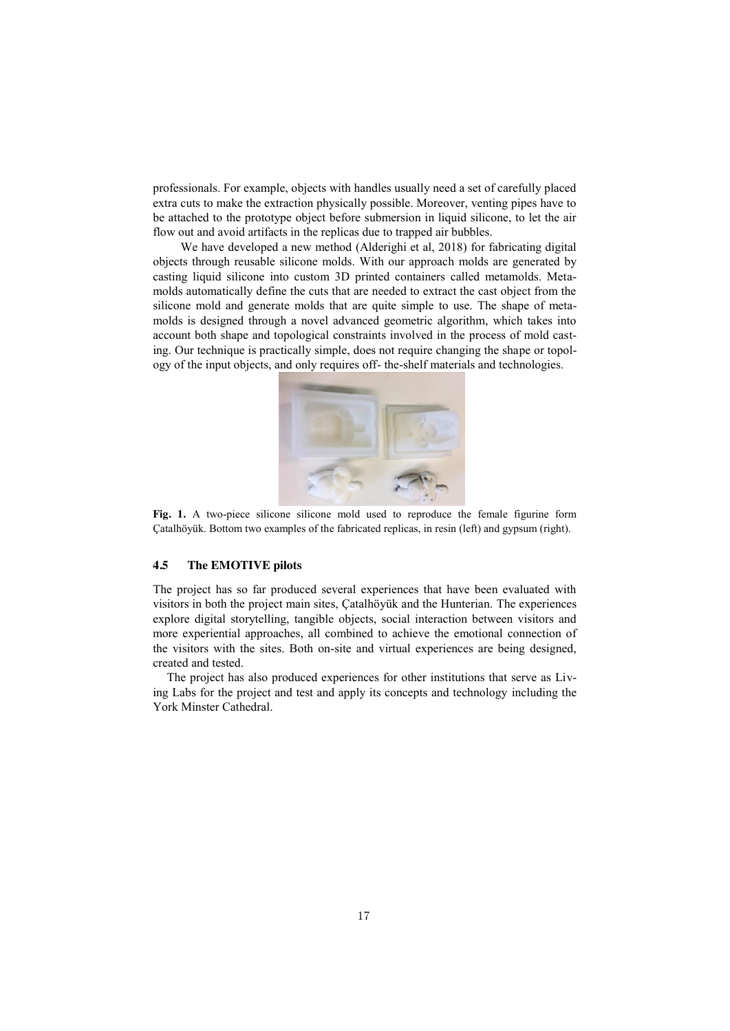professionals. For example, objects with handles usually need a set of carefully placed extra cuts to make the extraction physically possible. Moreover, venting pipes have to be attached to the prototype object before submersion in liquid silicone, to let the air flow out and avoid artifacts in the replicas due to trapped air bubbles.

We have developed a new method (Alderighi et al, 2018) for fabricating digital objects through reusable silicone molds. With our approach molds are generated by casting liquid silicone into custom 3D printed containers called metamolds. Metamolds automatically define the cuts that are needed to extract the cast object from the silicone mold and generate molds that are quite simple to use. The shape of metamolds is designed through a novel advanced geometric algorithm, which takes into account both shape and topological constraints involved in the process of mold casting. Our technique is practically simple, does not require changing the shape or topology of the input objects, and only requires off- the-shelf materials and technologies.



Fig. 1. A two-piece silicone silicone mold used to reproduce the female figurine form Çatalhöyük. Bottom two examples of the fabricated replicas, in resin (left) and gypsum (right).

#### **4.5 The EMOTIVE pilots**

The project has so far produced several experiences that have been evaluated with visitors in both the project main sites, Çatalhöyük and the Hunterian. The experiences explore digital storytelling, tangible objects, social interaction between visitors and more experiential approaches, all combined to achieve the emotional connection of the visitors with the sites. Both on-site and virtual experiences are being designed, created and tested.

The project has also produced experiences for other institutions that serve as Living Labs for the project and test and apply its concepts and technology including the York Minster Cathedral.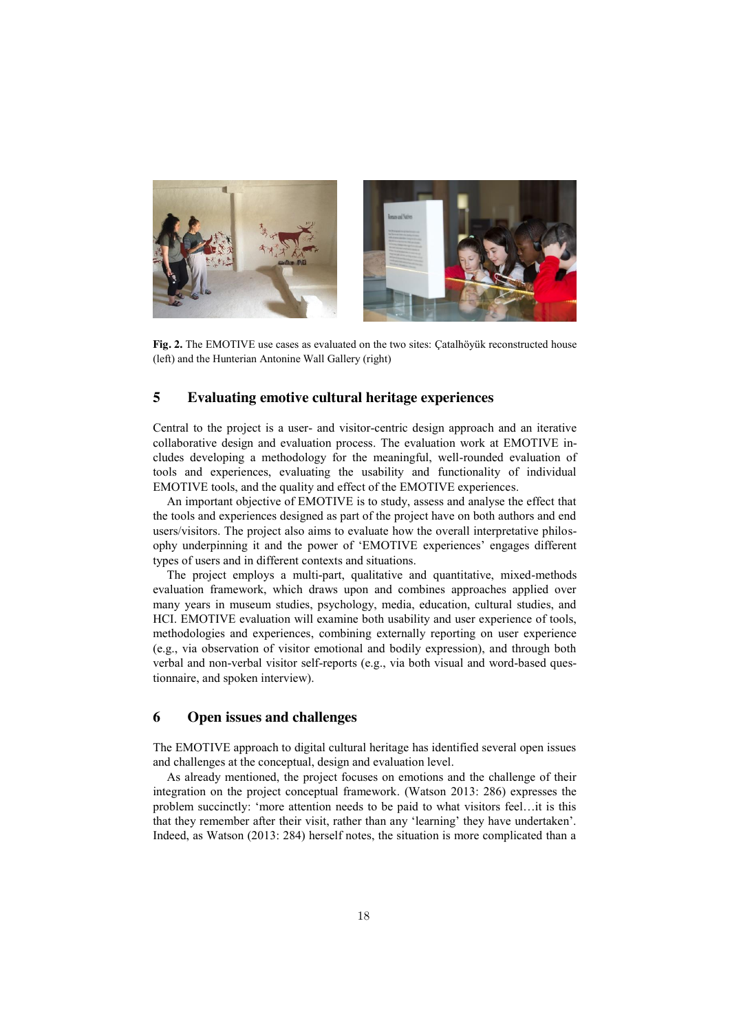

**Fig. 2.** The EMOTIVE use cases as evaluated on the two sites: Çatalhöyük reconstructed house (left) and the Hunterian Antonine Wall Gallery (right)

# **5 Evaluating emotive cultural heritage experiences**

Central to the project is a user- and visitor-centric design approach and an iterative collaborative design and evaluation process. The evaluation work at EMOTIVE includes developing a methodology for the meaningful, well-rounded evaluation of tools and experiences, evaluating the usability and functionality of individual EMOTIVE tools, and the quality and effect of the EMOTIVE experiences.

An important objective of EMOTIVE is to study, assess and analyse the effect that the tools and experiences designed as part of the project have on both authors and end users/visitors. The project also aims to evaluate how the overall interpretative philosophy underpinning it and the power of ‗EMOTIVE experiences' engages different types of users and in different contexts and situations.

The project employs a multi-part, qualitative and quantitative, mixed-methods evaluation framework, which draws upon and combines approaches applied over many years in museum studies, psychology, media, education, cultural studies, and HCI. EMOTIVE evaluation will examine both usability and user experience of tools, methodologies and experiences, combining externally reporting on user experience (e.g., via observation of visitor emotional and bodily expression), and through both verbal and non-verbal visitor self-reports (e.g., via both visual and word-based questionnaire, and spoken interview).

# **6 Open issues and challenges**

The EMOTIVE approach to digital cultural heritage has identified several open issues and challenges at the conceptual, design and evaluation level.

As already mentioned, the project focuses on emotions and the challenge of their integration on the project conceptual framework. (Watson 2013: 286) expresses the problem succinctly: ‗more attention needs to be paid to what visitors feel…it is this that they remember after their visit, rather than any 'learning' they have undertaken'. Indeed, as Watson (2013: 284) herself notes, the situation is more complicated than a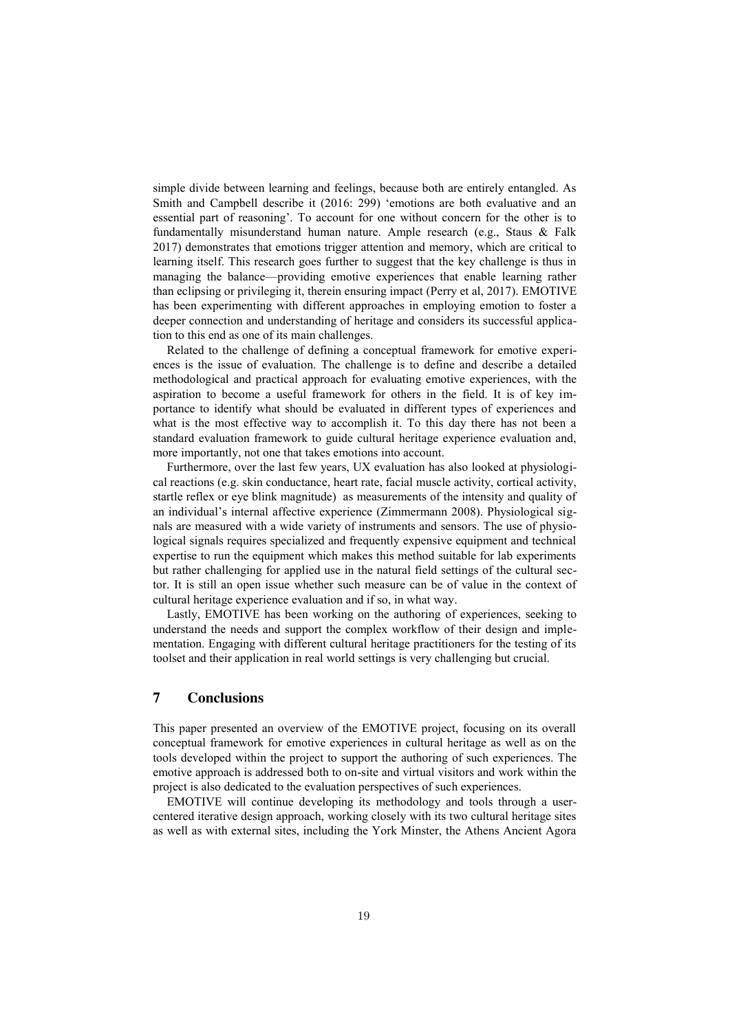simple divide between learning and feelings, because both are entirely entangled. As Smith and Campbell describe it (2016: 299) 'emotions are both evaluative and an essential part of reasoning'. To account for one without concern for the other is to fundamentally misunderstand human nature. Ample research (e.g., Staus & Falk 2017) demonstrates that emotions trigger attention and memory, which are critical to learning itself. This research goes further to suggest that the key challenge is thus in managing the balance—providing emotive experiences that enable learning rather than eclipsing or privileging it, therein ensuring impact (Perry et al, 2017). EMOTIVE has been experimenting with different approaches in employing emotion to foster a deeper connection and understanding of heritage and considers its successful application to this end as one of its main challenges.

Related to the challenge of defining a conceptual framework for emotive experiences is the issue of evaluation. The challenge is to define and describe a detailed methodological and practical approach for evaluating emotive experiences, with the aspiration to become a useful framework for others in the field. It is of key importance to identify what should be evaluated in different types of experiences and what is the most effective way to accomplish it. To this day there has not been a standard evaluation framework to guide cultural heritage experience evaluation and, more importantly, not one that takes emotions into account.

Furthermore, over the last few years, UX evaluation has also looked at physiological reactions (e.g. skin conductance, heart rate, facial muscle activity, cortical activity, startle reflex or eye blink magnitude) as measurements of the intensity and quality of an individual's internal affective experience (Zimmermann 2008). Physiological signals are measured with a wide variety of instruments and sensors. The use of physiological signals requires specialized and frequently expensive equipment and technical expertise to run the equipment which makes this method suitable for lab experiments but rather challenging for applied use in the natural field settings of the cultural sector. It is still an open issue whether such measure can be of value in the context of cultural heritage experience evaluation and if so, in what way.

Lastly, EMOTIVE has been working on the authoring of experiences, seeking to understand the needs and support the complex workflow of their design and implementation. Engaging with different cultural heritage practitioners for the testing of its toolset and their application in real world settings is very challenging but crucial.

# **7 Conclusions**

This paper presented an overview of the EMOTIVE project, focusing on its overall conceptual framework for emotive experiences in cultural heritage as well as on the tools developed within the project to support the authoring of such experiences. The emotive approach is addressed both to on-site and virtual visitors and work within the project is also dedicated to the evaluation perspectives of such experiences.

EMOTIVE will continue developing its methodology and tools through a usercentered iterative design approach, working closely with its two cultural heritage sites as well as with external sites, including the York Minster, the Athens Ancient Agora